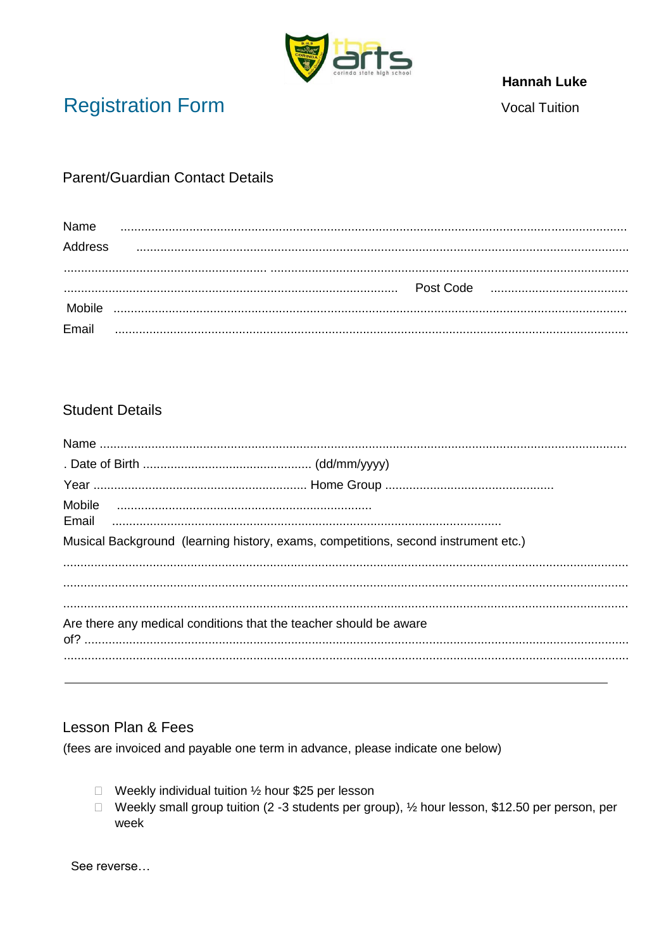

## **Hannah Luke**

**Registration Form** 

**Vocal Tuition** 

## **Parent/Guardian Contact Details**

| Name            |           |
|-----------------|-----------|
| Address         |           |
|                 |           |
|                 | Post Code |
|                 |           |
| Mobile<br>Email |           |

## **Student Details**

| Mobile                                                                             |  |
|------------------------------------------------------------------------------------|--|
| Musical Background (learning history, exams, competitions, second instrument etc.) |  |
|                                                                                    |  |
|                                                                                    |  |
| Are there any medical conditions that the teacher should be aware                  |  |
|                                                                                    |  |

## Lesson Plan & Fees

(fees are invoiced and payable one term in advance, please indicate one below)

- □ Weekly individual tuition ½ hour \$25 per lesson
- □ Weekly small group tuition (2 -3 students per group), ½ hour lesson, \$12.50 per person, per week

See reverse...